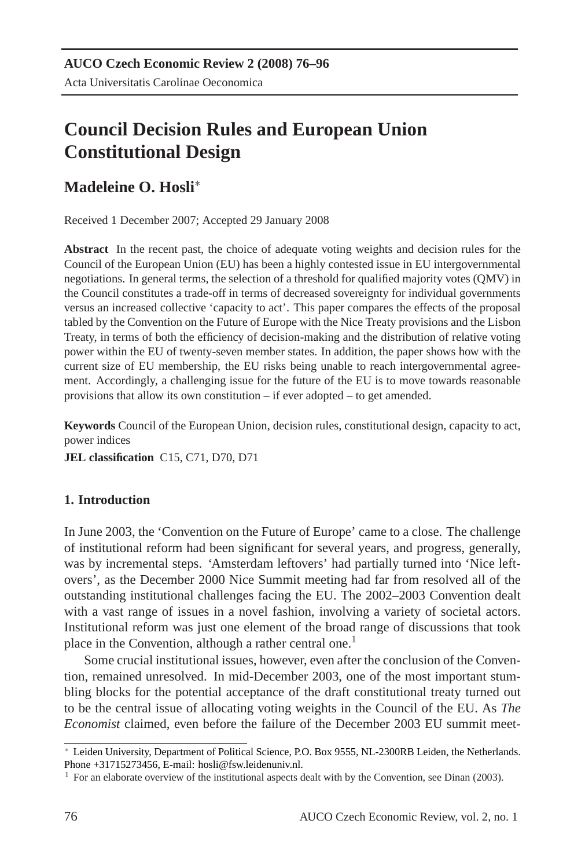# **Council Decision Rules and European Union Constitutional Design**

# **Madeleine O. Hosli**<sup>∗</sup>

Received 1 December 2007; Accepted 29 January 2008

**Abstract** In the recent past, the choice of adequate voting weights and decision rules for the Council of the European Union (EU) has been a highly contested issue in EU intergovernmental negotiations. In general terms, the selection of a threshold for qualified majority votes (QMV) in the Council constitutes a trade-off in terms of decreased sovereignty for individual governments versus an increased collective 'capacity to act'. This paper compares the effects of the proposal tabled by the Convention on the Future of Europe with the Nice Treaty provisions and the Lisbon Treaty, in terms of both the efficiency of decision-making and the distribution of relative voting power within the EU of twenty-seven member states. In addition, the paper shows how with the current size of EU membership, the EU risks being unable to reach intergovernmental agreement. Accordingly, a challenging issue for the future of the EU is to move towards reasonable provisions that allow its own constitution – if ever adopted – to get amended.

**Keywords** Council of the European Union, decision rules, constitutional design, capacity to act, power indices

**JEL classification** C15, C71, D70, D71

## **1. Introduction**

In June 2003, the 'Convention on the Future of Europe' came to a close. The challenge of institutional reform had been significant for several years, and progress, generally, was by incremental steps. 'Amsterdam leftovers' had partially turned into 'Nice leftovers', as the December 2000 Nice Summit meeting had far from resolved all of the outstanding institutional challenges facing the EU. The 2002–2003 Convention dealt with a vast range of issues in a novel fashion, involving a variety of societal actors. Institutional reform was just one element of the broad range of discussions that took place in the Convention, although a rather central one.<sup>1</sup>

Some crucial institutional issues, however, even after the conclusion of the Convention, remained unresolved. In mid-December 2003, one of the most important stumbling blocks for the potential acceptance of the draft constitutional treaty turned out to be the central issue of allocating voting weights in the Council of the EU. As *The Economist* claimed, even before the failure of the December 2003 EU summit meet-

Leiden University, Department of Political Science, P.O. Box 9555, NL-2300RB Leiden, the Netherlands. Phone +31715273456, E-mail: hosli@fsw.leidenuniv.nl.

<sup>&</sup>lt;sup>1</sup> For an elaborate overview of the institutional aspects dealt with by the Convention, see Dinan (2003).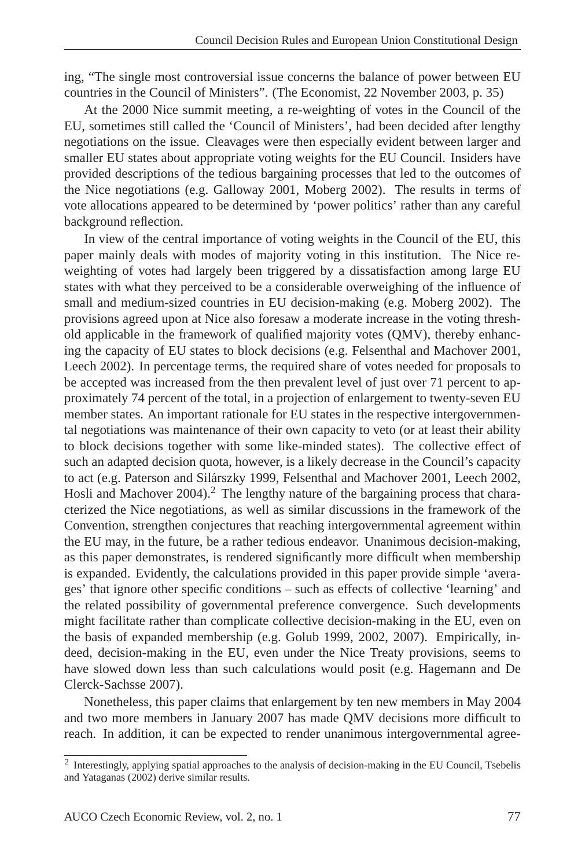ing, "The single most controversial issue concerns the balance of power between EU countries in the Council of Ministers". (The Economist, 22 November 2003, p. 35)

At the 2000 Nice summit meeting, a re-weighting of votes in the Council of the EU, sometimes still called the 'Council of Ministers', had been decided after lengthy negotiations on the issue. Cleavages were then especially evident between larger and smaller EU states about appropriate voting weights for the EU Council. Insiders have provided descriptions of the tedious bargaining processes that led to the outcomes of the Nice negotiations (e.g. Galloway 2001, Moberg 2002). The results in terms of vote allocations appeared to be determined by 'power politics' rather than any careful background reflection.

In view of the central importance of voting weights in the Council of the EU, this paper mainly deals with modes of majority voting in this institution. The Nice reweighting of votes had largely been triggered by a dissatisfaction among large EU states with what they perceived to be a considerable overweighing of the influence of small and medium-sized countries in EU decision-making (e.g. Moberg 2002). The provisions agreed upon at Nice also foresaw a moderate increase in the voting threshold applicable in the framework of qualified majority votes (QMV), thereby enhancing the capacity of EU states to block decisions (e.g. Felsenthal and Machover 2001, Leech 2002). In percentage terms, the required share of votes needed for proposals to be accepted was increased from the then prevalent level of just over 71 percent to approximately 74 percent of the total, in a projection of enlargement to twenty-seven EU member states. An important rationale for EU states in the respective intergovernmental negotiations was maintenance of their own capacity to veto (or at least their ability to block decisions together with some like-minded states). The collective effect of such an adapted decision quota, however, is a likely decrease in the Council's capacity to act (e.g. Paterson and Silárszky 1999, Felsenthal and Machover 2001, Leech 2002, Hosli and Machover 2004).<sup>2</sup> The lengthy nature of the bargaining process that characterized the Nice negotiations, as well as similar discussions in the framework of the Convention, strengthen conjectures that reaching intergovernmental agreement within the EU may, in the future, be a rather tedious endeavor. Unanimous decision-making, as this paper demonstrates, is rendered significantly more difficult when membership is expanded. Evidently, the calculations provided in this paper provide simple 'averages' that ignore other specific conditions – such as effects of collective 'learning' and the related possibility of governmental preference convergence. Such developments might facilitate rather than complicate collective decision-making in the EU, even on the basis of expanded membership (e.g. Golub 1999, 2002, 2007). Empirically, indeed, decision-making in the EU, even under the Nice Treaty provisions, seems to have slowed down less than such calculations would posit (e.g. Hagemann and De Clerck-Sachsse 2007).

Nonetheless, this paper claims that enlargement by ten new members in May 2004 and two more members in January 2007 has made QMV decisions more difficult to reach. In addition, it can be expected to render unanimous intergovernmental agree-

<sup>&</sup>lt;sup>2</sup> Interestingly, applying spatial approaches to the analysis of decision-making in the EU Council, Tsebelis and Yataganas (2002) derive similar results.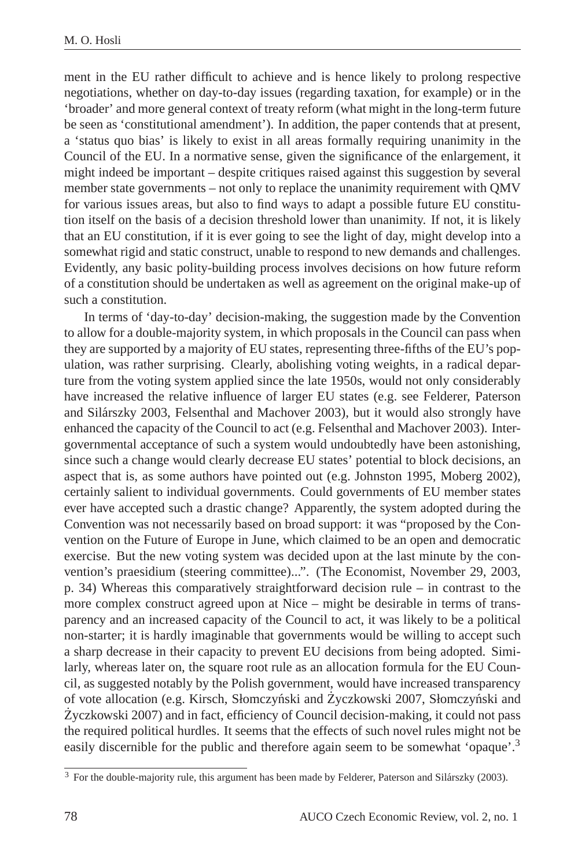ment in the EU rather difficult to achieve and is hence likely to prolong respective negotiations, whether on day-to-day issues (regarding taxation, for example) or in the 'broader' and more general context of treaty reform (what might in the long-term future be seen as 'constitutional amendment'). In addition, the paper contends that at present, a 'status quo bias' is likely to exist in all areas formally requiring unanimity in the Council of the EU. In a normative sense, given the significance of the enlargement, it might indeed be important – despite critiques raised against this suggestion by several member state governments – not only to replace the unanimity requirement with QMV for various issues areas, but also to find ways to adapt a possible future EU constitution itself on the basis of a decision threshold lower than unanimity. If not, it is likely that an EU constitution, if it is ever going to see the light of day, might develop into a somewhat rigid and static construct, unable to respond to new demands and challenges. Evidently, any basic polity-building process involves decisions on how future reform of a constitution should be undertaken as well as agreement on the original make-up of such a constitution.

In terms of 'day-to-day' decision-making, the suggestion made by the Convention to allow for a double-majority system, in which proposals in the Council can pass when they are supported by a majority of EU states, representing three-fifths of the EU's population, was rather surprising. Clearly, abolishing voting weights, in a radical departure from the voting system applied since the late 1950s, would not only considerably have increased the relative influence of larger EU states (e.g. see Felderer, Paterson and Silárszky 2003, Felsenthal and Machover 2003), but it would also strongly have enhanced the capacity of the Council to act (e.g. Felsenthal and Machover 2003). Intergovernmental acceptance of such a system would undoubtedly have been astonishing, since such a change would clearly decrease EU states' potential to block decisions, an aspect that is, as some authors have pointed out (e.g. Johnston 1995, Moberg 2002), certainly salient to individual governments. Could governments of EU member states ever have accepted such a drastic change? Apparently, the system adopted during the Convention was not necessarily based on broad support: it was "proposed by the Convention on the Future of Europe in June, which claimed to be an open and democratic exercise. But the new voting system was decided upon at the last minute by the convention's praesidium (steering committee)...". (The Economist, November 29, 2003, p. 34) Whereas this comparatively straightforward decision rule – in contrast to the more complex construct agreed upon at Nice – might be desirable in terms of transparency and an increased capacity of the Council to act, it was likely to be a political non-starter; it is hardly imaginable that governments would be willing to accept such a sharp decrease in their capacity to prevent EU decisions from being adopted. Similarly, whereas later on, the square root rule as an allocation formula for the EU Council, as suggested notably by the Polish government, would have increased transparency of vote allocation (e.g. Kirsch, Słomczyński and Życzkowski 2007, Słomczyński and  $\dot{Z}$ yczkowski 2007) and in fact, efficiency of Council decision-making, it could not pass the required political hurdles. It seems that the effects of such novel rules might not be easily discernible for the public and therefore again seem to be somewhat 'opaque'.<sup>3</sup>

 $3$  For the double-majority rule, this argument has been made by Felderer, Paterson and Silárszky (2003).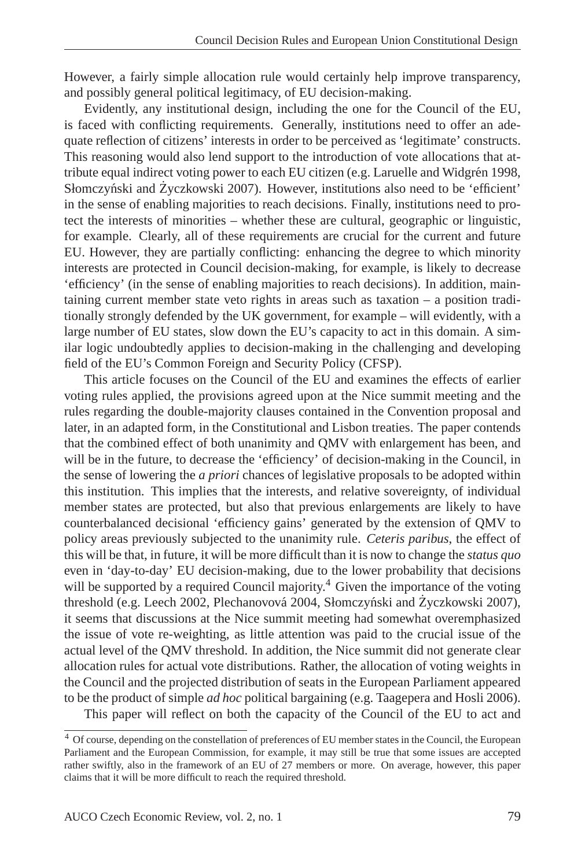However, a fairly simple allocation rule would certainly help improve transparency, and possibly general political legitimacy, of EU decision-making.

Evidently, any institutional design, including the one for the Council of the EU, is faced with conflicting requirements. Generally, institutions need to offer an adequate reflection of citizens' interests in order to be perceived as 'legitimate' constructs. This reasoning would also lend support to the introduction of vote allocations that attribute equal indirect voting power to each EU citizen (e.g. Laruelle and Widgrén 1998, Słomczyński and Życzkowski 2007). However, institutions also need to be 'efficient' in the sense of enabling majorities to reach decisions. Finally, institutions need to protect the interests of minorities – whether these are cultural, geographic or linguistic, for example. Clearly, all of these requirements are crucial for the current and future EU. However, they are partially conflicting: enhancing the degree to which minority interests are protected in Council decision-making, for example, is likely to decrease 'efficiency' (in the sense of enabling majorities to reach decisions). In addition, maintaining current member state veto rights in areas such as taxation – a position traditionally strongly defended by the UK government, for example – will evidently, with a large number of EU states, slow down the EU's capacity to act in this domain. A similar logic undoubtedly applies to decision-making in the challenging and developing field of the EU's Common Foreign and Security Policy (CFSP).

This article focuses on the Council of the EU and examines the effects of earlier voting rules applied, the provisions agreed upon at the Nice summit meeting and the rules regarding the double-majority clauses contained in the Convention proposal and later, in an adapted form, in the Constitutional and Lisbon treaties. The paper contends that the combined effect of both unanimity and QMV with enlargement has been, and will be in the future, to decrease the 'efficiency' of decision-making in the Council, in the sense of lowering the *a priori* chances of legislative proposals to be adopted within this institution. This implies that the interests, and relative sovereignty, of individual member states are protected, but also that previous enlargements are likely to have counterbalanced decisional 'efficiency gains' generated by the extension of QMV to policy areas previously subjected to the unanimity rule. *Ceteris paribus*, the effect of this will be that, in future, it will be more difficult than it is now to change the *status quo* even in 'day-to-day' EU decision-making, due to the lower probability that decisions will be supported by a required Council majority.<sup>4</sup> Given the importance of the voting threshold (e.g. Leech 2002, Plechanovová 2004, Słomczyński and Życzkowski 2007), it seems that discussions at the Nice summit meeting had somewhat overemphasized the issue of vote re-weighting, as little attention was paid to the crucial issue of the actual level of the QMV threshold. In addition, the Nice summit did not generate clear allocation rules for actual vote distributions. Rather, the allocation of voting weights in the Council and the projected distribution of seats in the European Parliament appeared to be the product of simple *ad hoc* political bargaining (e.g. Taagepera and Hosli 2006).

This paper will reflect on both the capacity of the Council of the EU to act and

<sup>4</sup> Of course, depending on the constellation of preferences of EU member states in the Council, the European Parliament and the European Commission, for example, it may still be true that some issues are accepted rather swiftly, also in the framework of an EU of 27 members or more. On average, however, this paper claims that it will be more difficult to reach the required threshold.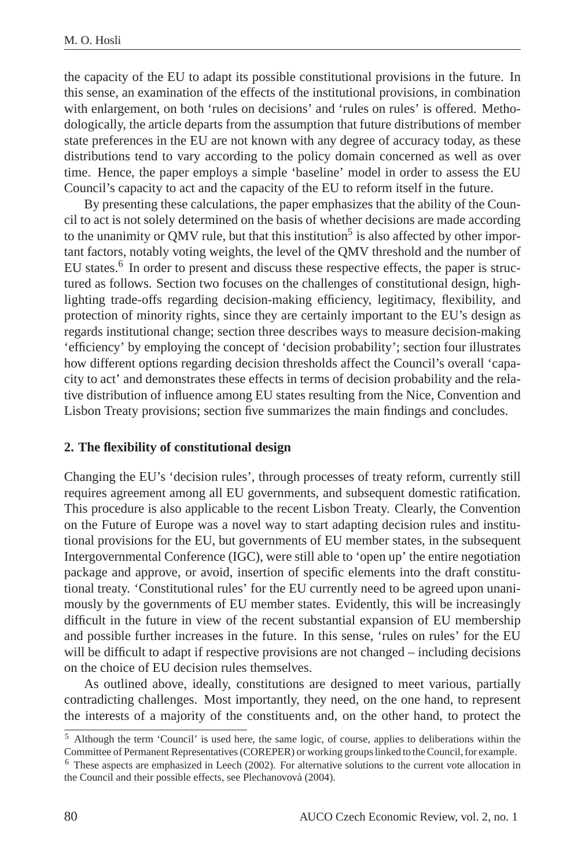the capacity of the EU to adapt its possible constitutional provisions in the future. In this sense, an examination of the effects of the institutional provisions, in combination with enlargement, on both 'rules on decisions' and 'rules on rules' is offered. Methodologically, the article departs from the assumption that future distributions of member state preferences in the EU are not known with any degree of accuracy today, as these distributions tend to vary according to the policy domain concerned as well as over time. Hence, the paper employs a simple 'baseline' model in order to assess the EU Council's capacity to act and the capacity of the EU to reform itself in the future.

By presenting these calculations, the paper emphasizes that the ability of the Council to act is not solely determined on the basis of whether decisions are made according to the unanimity or QMV rule, but that this institution<sup>5</sup> is also affected by other important factors, notably voting weights, the level of the QMV threshold and the number of EU states.<sup>6</sup> In order to present and discuss these respective effects, the paper is structured as follows. Section two focuses on the challenges of constitutional design, highlighting trade-offs regarding decision-making efficiency, legitimacy, flexibility, and protection of minority rights, since they are certainly important to the EU's design as regards institutional change; section three describes ways to measure decision-making 'efficiency' by employing the concept of 'decision probability'; section four illustrates how different options regarding decision thresholds affect the Council's overall 'capacity to act' and demonstrates these effects in terms of decision probability and the relative distribution of influence among EU states resulting from the Nice, Convention and Lisbon Treaty provisions; section five summarizes the main findings and concludes.

#### **2. The flexibility of constitutional design**

Changing the EU's 'decision rules', through processes of treaty reform, currently still requires agreement among all EU governments, and subsequent domestic ratification. This procedure is also applicable to the recent Lisbon Treaty. Clearly, the Convention on the Future of Europe was a novel way to start adapting decision rules and institutional provisions for the EU, but governments of EU member states, in the subsequent Intergovernmental Conference (IGC), were still able to 'open up' the entire negotiation package and approve, or avoid, insertion of specific elements into the draft constitutional treaty. 'Constitutional rules' for the EU currently need to be agreed upon unanimously by the governments of EU member states. Evidently, this will be increasingly difficult in the future in view of the recent substantial expansion of EU membership and possible further increases in the future. In this sense, 'rules on rules' for the EU will be difficult to adapt if respective provisions are not changed – including decisions on the choice of EU decision rules themselves.

As outlined above, ideally, constitutions are designed to meet various, partially contradicting challenges. Most importantly, they need, on the one hand, to represent the interests of a majority of the constituents and, on the other hand, to protect the

<sup>5</sup> Although the term 'Council' is used here, the same logic, of course, applies to deliberations within the Committee of Permanent Representatives (COREPER) or working groups linked to the Council, for example.

<sup>6</sup> These aspects are emphasized in Leech (2002). For alternative solutions to the current vote allocation in the Council and their possible effects, see Plechanovová (2004).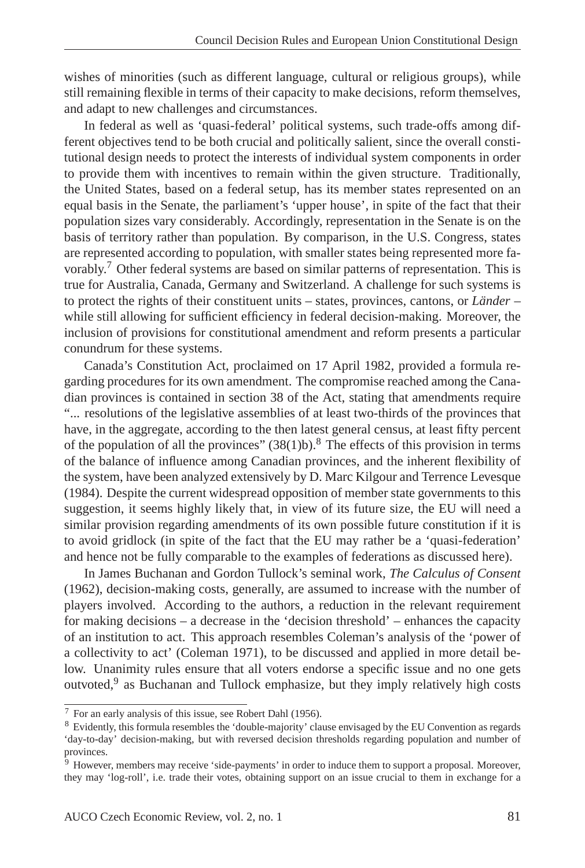wishes of minorities (such as different language, cultural or religious groups), while still remaining flexible in terms of their capacity to make decisions, reform themselves, and adapt to new challenges and circumstances.

In federal as well as 'quasi-federal' political systems, such trade-offs among different objectives tend to be both crucial and politically salient, since the overall constitutional design needs to protect the interests of individual system components in order to provide them with incentives to remain within the given structure. Traditionally, the United States, based on a federal setup, has its member states represented on an equal basis in the Senate, the parliament's 'upper house', in spite of the fact that their population sizes vary considerably. Accordingly, representation in the Senate is on the basis of territory rather than population. By comparison, in the U.S. Congress, states are represented according to population, with smaller states being represented more favorably.<sup>7</sup> Other federal systems are based on similar patterns of representation. This is true for Australia, Canada, Germany and Switzerland. A challenge for such systems is to protect the rights of their constituent units – states, provinces, cantons, or *Länder* – while still allowing for sufficient efficiency in federal decision-making. Moreover, the inclusion of provisions for constitutional amendment and reform presents a particular conundrum for these systems.

Canada's Constitution Act, proclaimed on 17 April 1982, provided a formula regarding procedures for its own amendment. The compromise reached among the Canadian provinces is contained in section 38 of the Act, stating that amendments require "... resolutions of the legislative assemblies of at least two-thirds of the provinces that have, in the aggregate, according to the then latest general census, at least fifty percent of the population of all the provinces"  $(38(1)b)$ .<sup>8</sup> The effects of this provision in terms of the balance of influence among Canadian provinces, and the inherent flexibility of the system, have been analyzed extensively by D. Marc Kilgour and Terrence Levesque (1984). Despite the current widespread opposition of member state governments to this suggestion, it seems highly likely that, in view of its future size, the EU will need a similar provision regarding amendments of its own possible future constitution if it is to avoid gridlock (in spite of the fact that the EU may rather be a 'quasi-federation' and hence not be fully comparable to the examples of federations as discussed here).

In James Buchanan and Gordon Tullock's seminal work, *The Calculus of Consent* (1962), decision-making costs, generally, are assumed to increase with the number of players involved. According to the authors, a reduction in the relevant requirement for making decisions – a decrease in the 'decision threshold' – enhances the capacity of an institution to act. This approach resembles Coleman's analysis of the 'power of a collectivity to act' (Coleman 1971), to be discussed and applied in more detail below. Unanimity rules ensure that all voters endorse a specific issue and no one gets outvoted,<sup>9</sup> as Buchanan and Tullock emphasize, but they imply relatively high costs

<sup>7</sup> For an early analysis of this issue, see Robert Dahl (1956).

<sup>8</sup> Evidently, this formula resembles the 'double-majority' clause envisaged by the EU Convention as regards 'day-to-day' decision-making, but with reversed decision thresholds regarding population and number of provinces.

<sup>9</sup> However, members may receive 'side-payments' in order to induce them to support a proposal. Moreover, they may 'log-roll', i.e. trade their votes, obtaining support on an issue crucial to them in exchange for a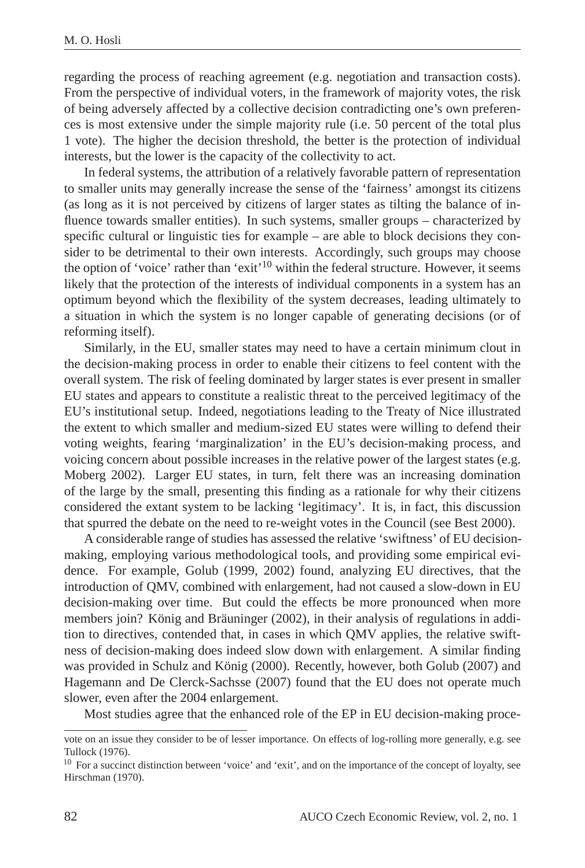regarding the process of reaching agreement (e.g. negotiation and transaction costs). From the perspective of individual voters, in the framework of majority votes, the risk of being adversely affected by a collective decision contradicting one's own preferences is most extensive under the simple majority rule (i.e. 50 percent of the total plus 1 vote). The higher the decision threshold, the better is the protection of individual interests, but the lower is the capacity of the collectivity to act.

In federal systems, the attribution of a relatively favorable pattern of representation to smaller units may generally increase the sense of the 'fairness' amongst its citizens (as long as it is not perceived by citizens of larger states as tilting the balance of influence towards smaller entities). In such systems, smaller groups – characterized by specific cultural or linguistic ties for example – are able to block decisions they consider to be detrimental to their own interests. Accordingly, such groups may choose the option of 'voice' rather than 'exit'<sup>10</sup> within the federal structure. However, it seems likely that the protection of the interests of individual components in a system has an optimum beyond which the flexibility of the system decreases, leading ultimately to a situation in which the system is no longer capable of generating decisions (or of reforming itself).

Similarly, in the EU, smaller states may need to have a certain minimum clout in the decision-making process in order to enable their citizens to feel content with the overall system. The risk of feeling dominated by larger states is ever present in smaller EU states and appears to constitute a realistic threat to the perceived legitimacy of the EU's institutional setup. Indeed, negotiations leading to the Treaty of Nice illustrated the extent to which smaller and medium-sized EU states were willing to defend their voting weights, fearing 'marginalization' in the EU's decision-making process, and voicing concern about possible increases in the relative power of the largest states (e.g. Moberg 2002). Larger EU states, in turn, felt there was an increasing domination of the large by the small, presenting this finding as a rationale for why their citizens considered the extant system to be lacking 'legitimacy'. It is, in fact, this discussion that spurred the debate on the need to re-weight votes in the Council (see Best 2000).

A considerable range of studies has assessed the relative 'swiftness' of EU decisionmaking, employing various methodological tools, and providing some empirical evidence. For example, Golub (1999, 2002) found, analyzing EU directives, that the introduction of QMV, combined with enlargement, had not caused a slow-down in EU decision-making over time. But could the effects be more pronounced when more members join? König and Bräuninger (2002), in their analysis of regulations in addition to directives, contended that, in cases in which QMV applies, the relative swiftness of decision-making does indeed slow down with enlargement. A similar finding was provided in Schulz and König (2000). Recently, however, both Golub (2007) and Hagemann and De Clerck-Sachsse (2007) found that the EU does not operate much slower, even after the 2004 enlargement.

Most studies agree that the enhanced role of the EP in EU decision-making proce-

vote on an issue they consider to be of lesser importance. On effects of log-rolling more generally, e.g. see Tullock (1976).

<sup>&</sup>lt;sup>10</sup> For a succinct distinction between 'voice' and 'exit', and on the importance of the concept of loyalty, see Hirschman (1970).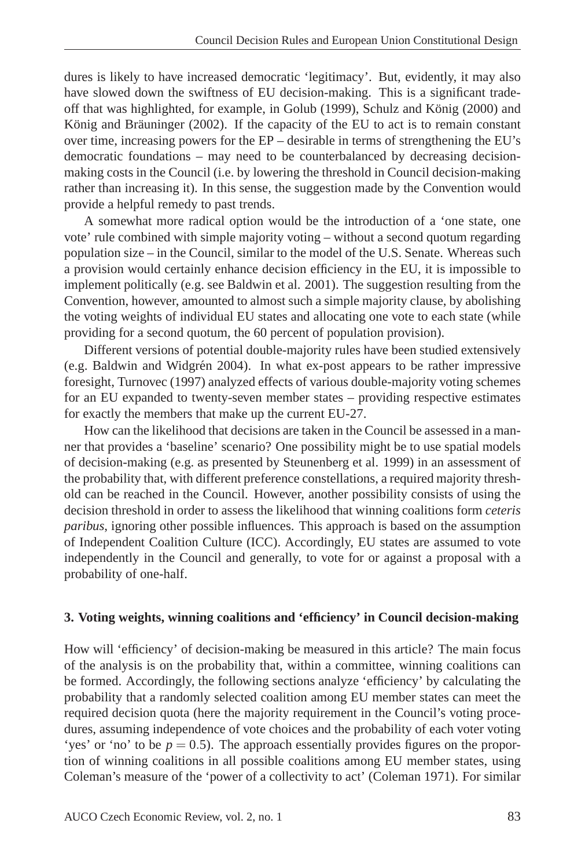dures is likely to have increased democratic 'legitimacy'. But, evidently, it may also have slowed down the swiftness of EU decision-making. This is a significant tradeoff that was highlighted, for example, in Golub (1999), Schulz and König (2000) and König and Bräuninger  $(2002)$ . If the capacity of the EU to act is to remain constant over time, increasing powers for the EP – desirable in terms of strengthening the EU's democratic foundations – may need to be counterbalanced by decreasing decisionmaking costs in the Council (i.e. by lowering the threshold in Council decision-making rather than increasing it). In this sense, the suggestion made by the Convention would provide a helpful remedy to past trends.

A somewhat more radical option would be the introduction of a 'one state, one vote' rule combined with simple majority voting – without a second quotum regarding population size – in the Council, similar to the model of the U.S. Senate. Whereas such a provision would certainly enhance decision efficiency in the EU, it is impossible to implement politically (e.g. see Baldwin et al. 2001). The suggestion resulting from the Convention, however, amounted to almost such a simple majority clause, by abolishing the voting weights of individual EU states and allocating one vote to each state (while providing for a second quotum, the 60 percent of population provision).

Different versions of potential double-majority rules have been studied extensively (e.g. Baldwin and Widgrén 2004). In what ex-post appears to be rather impressive foresight, Turnovec (1997) analyzed effects of various double-majority voting schemes for an EU expanded to twenty-seven member states – providing respective estimates for exactly the members that make up the current EU-27.

How can the likelihood that decisions are taken in the Council be assessed in a manner that provides a 'baseline' scenario? One possibility might be to use spatial models of decision-making (e.g. as presented by Steunenberg et al. 1999) in an assessment of the probability that, with different preference constellations, a required majority threshold can be reached in the Council. However, another possibility consists of using the decision threshold in order to assess the likelihood that winning coalitions form *ceteris paribus*, ignoring other possible influences. This approach is based on the assumption of Independent Coalition Culture (ICC). Accordingly, EU states are assumed to vote independently in the Council and generally, to vote for or against a proposal with a probability of one-half.

#### **3. Voting weights, winning coalitions and 'efficiency' in Council decision-making**

How will 'efficiency' of decision-making be measured in this article? The main focus of the analysis is on the probability that, within a committee, winning coalitions can be formed. Accordingly, the following sections analyze 'efficiency' by calculating the probability that a randomly selected coalition among EU member states can meet the required decision quota (here the majority requirement in the Council's voting procedures, assuming independence of vote choices and the probability of each voter voting 'yes' or 'no' to be  $p = 0.5$ ). The approach essentially provides figures on the proportion of winning coalitions in all possible coalitions among EU member states, using Coleman's measure of the 'power of a collectivity to act' (Coleman 1971). For similar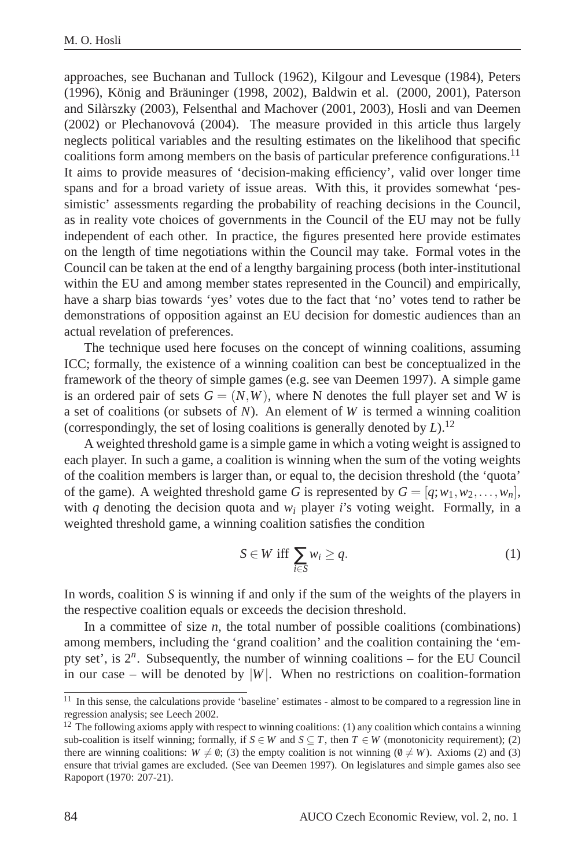approaches, see Buchanan and Tullock (1962), Kilgour and Levesque (1984), Peters (1996), König and Bräuninger (1998, 2002), Baldwin et al. (2000, 2001), Paterson and Silàrszky (2003), Felsenthal and Machover (2001, 2003), Hosli and van Deemen  $(2002)$  or Plechanovová  $(2004)$ . The measure provided in this article thus largely neglects political variables and the resulting estimates on the likelihood that specific coalitions form among members on the basis of particular preference configurations.<sup>11</sup> It aims to provide measures of 'decision-making efficiency', valid over longer time spans and for a broad variety of issue areas. With this, it provides somewhat 'pessimistic' assessments regarding the probability of reaching decisions in the Council, as in reality vote choices of governments in the Council of the EU may not be fully independent of each other. In practice, the figures presented here provide estimates on the length of time negotiations within the Council may take. Formal votes in the Council can be taken at the end of a lengthy bargaining process (both inter-institutional within the EU and among member states represented in the Council) and empirically, have a sharp bias towards 'yes' votes due to the fact that 'no' votes tend to rather be demonstrations of opposition against an EU decision for domestic audiences than an actual revelation of preferences.

The technique used here focuses on the concept of winning coalitions, assuming ICC; formally, the existence of a winning coalition can best be conceptualized in the framework of the theory of simple games (e.g. see van Deemen 1997). A simple game is an ordered pair of sets  $G = (N, W)$ , where N denotes the full player set and W is a set of coalitions (or subsets of *N*). An element of *W* is termed a winning coalition (correspondingly, the set of losing coalitions is generally denoted by *L*).<sup>12</sup>

A weighted threshold game is a simple game in which a voting weight is assigned to each player. In such a game, a coalition is winning when the sum of the voting weights of the coalition members is larger than, or equal to, the decision threshold (the 'quota' of the game). A weighted threshold game *G* is represented by  $G = [q; w_1, w_2, \ldots, w_n]$ , with *q* denoting the decision quota and *w<sup>i</sup>* player *i*'s voting weight. Formally, in a weighted threshold game, a winning coalition satisfies the condition

$$
S \in W \text{ iff } \sum_{i \in S} w_i \ge q. \tag{1}
$$

In words, coalition *S* is winning if and only if the sum of the weights of the players in the respective coalition equals or exceeds the decision threshold.

In a committee of size *n*, the total number of possible coalitions (combinations) among members, including the 'grand coalition' and the coalition containing the 'empty set', is 2*<sup>n</sup>* . Subsequently, the number of winning coalitions – for the EU Council in our case – will be denoted by  $|W|$ . When no restrictions on coalition-formation

<sup>&</sup>lt;sup>11</sup> In this sense, the calculations provide 'baseline' estimates - almost to be compared to a regression line in regression analysis; see Leech 2002.

 $12$  The following axioms apply with respect to winning coalitions: (1) any coalition which contains a winning sub-coalition is itself winning; formally, if  $S \in W$  and  $S \subseteq T$ , then  $T \in W$  (monotonicity requirement); (2) there are winning coalitions:  $W \neq 0$ ; (3) the empty coalition is not winning ( $0 \neq W$ ). Axioms (2) and (3) ensure that trivial games are excluded. (See van Deemen 1997). On legislatures and simple games also see Rapoport (1970: 207-21).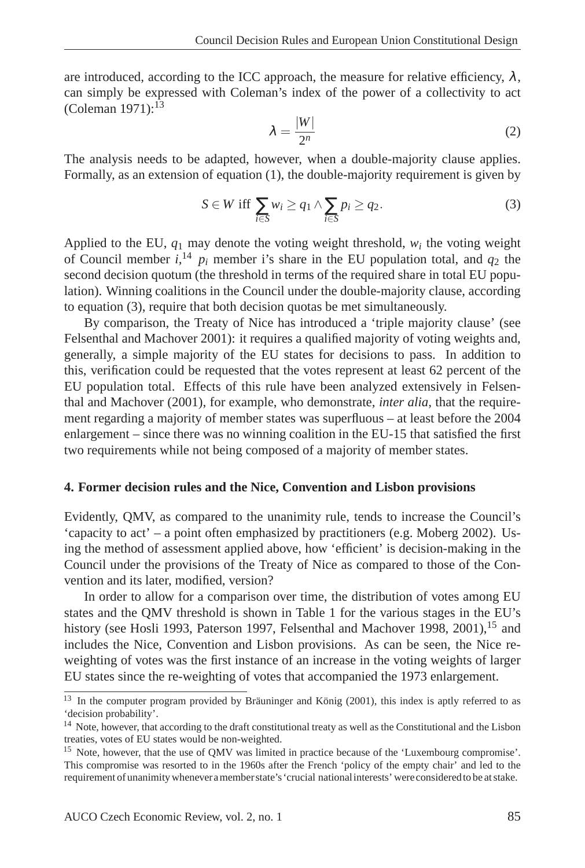are introduced, according to the ICC approach, the measure for relative efficiency,  $\lambda$ , can simply be expressed with Coleman's index of the power of a collectivity to act (Coleman  $1971$ ):<sup>13</sup>

$$
\lambda = \frac{|W|}{2^n} \tag{2}
$$

The analysis needs to be adapted, however, when a double-majority clause applies. Formally, as an extension of equation (1), the double-majority requirement is given by

$$
S \in W \text{ iff } \sum_{i \in S} w_i \ge q_1 \land \sum_{i \in S} p_i \ge q_2. \tag{3}
$$

Applied to the EU,  $q_1$  may denote the voting weight threshold,  $w_i$  the voting weight of Council member  $i^{14}$ ,  $p_i$  member i's share in the EU population total, and  $q_2$  the second decision quotum (the threshold in terms of the required share in total EU population). Winning coalitions in the Council under the double-majority clause, according to equation (3), require that both decision quotas be met simultaneously.

By comparison, the Treaty of Nice has introduced a 'triple majority clause' (see Felsenthal and Machover 2001): it requires a qualified majority of voting weights and, generally, a simple majority of the EU states for decisions to pass. In addition to this, verification could be requested that the votes represent at least 62 percent of the EU population total. Effects of this rule have been analyzed extensively in Felsenthal and Machover (2001), for example, who demonstrate, *inter alia,* that the requirement regarding a majority of member states was superfluous – at least before the 2004 enlargement – since there was no winning coalition in the EU-15 that satisfied the first two requirements while not being composed of a majority of member states.

#### **4. Former decision rules and the Nice, Convention and Lisbon provisions**

Evidently, QMV, as compared to the unanimity rule, tends to increase the Council's 'capacity to act' – a point often emphasized by practitioners (e.g. Moberg 2002). Using the method of assessment applied above, how 'efficient' is decision-making in the Council under the provisions of the Treaty of Nice as compared to those of the Convention and its later, modified, version?

In order to allow for a comparison over time, the distribution of votes among EU states and the QMV threshold is shown in Table 1 for the various stages in the EU's history (see Hosli 1993, Paterson 1997, Felsenthal and Machover 1998, 2001),  $15$  and includes the Nice, Convention and Lisbon provisions. As can be seen, the Nice reweighting of votes was the first instance of an increase in the voting weights of larger EU states since the re-weighting of votes that accompanied the 1973 enlargement.

 $\frac{13}{13}$  In the computer program provided by Bräuninger and König (2001), this index is aptly referred to as 'decision probability'.

<sup>&</sup>lt;sup>14</sup> Note, however, that according to the draft constitutional treaty as well as the Constitutional and the Lisbon treaties, votes of EU states would be non-weighted.

<sup>15</sup> Note, however, that the use of QMV was limited in practice because of the 'Luxembourg compromise'. This compromise was resorted to in the 1960s after the French 'policy of the empty chair' and led to the requirement of unanimity wheneveramemberstate's'crucial nationalinterests' wereconsideredto be at stake.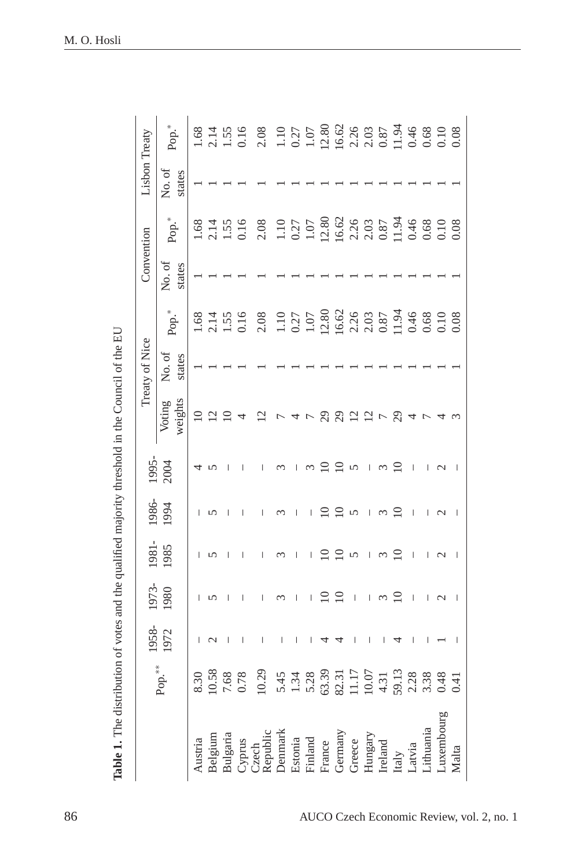|                                                    |                               |               |       |             |       |               |                     | Treaty of Nice |                                                                                                                                                                                                                                                                                                       | Convention |                                                                                                                                                                                                                                                                                                               | Lisbon Treaty |                   |
|----------------------------------------------------|-------------------------------|---------------|-------|-------------|-------|---------------|---------------------|----------------|-------------------------------------------------------------------------------------------------------------------------------------------------------------------------------------------------------------------------------------------------------------------------------------------------------|------------|---------------------------------------------------------------------------------------------------------------------------------------------------------------------------------------------------------------------------------------------------------------------------------------------------------------|---------------|-------------------|
|                                                    | $\mathsf{Pop}.^*$             |               | 1973- | 1981-       | 1986- |               |                     |                |                                                                                                                                                                                                                                                                                                       |            |                                                                                                                                                                                                                                                                                                               |               |                   |
|                                                    |                               | 1958-<br>1972 | 1980  | 1985        | 1994  | 1995-<br>2004 | Voting              | No. of         | Pop. <sup>*</sup>                                                                                                                                                                                                                                                                                     | No. of     | $\mathsf{Pop.}^*$                                                                                                                                                                                                                                                                                             | No. of        | $\mathsf{Pop.}^*$ |
|                                                    |                               |               |       |             |       |               | weights             | states         |                                                                                                                                                                                                                                                                                                       | states     |                                                                                                                                                                                                                                                                                                               | states        |                   |
| Austria                                            |                               |               |       |             |       |               | $\supseteq$         |                |                                                                                                                                                                                                                                                                                                       |            |                                                                                                                                                                                                                                                                                                               |               |                   |
|                                                    |                               |               |       |             |       |               | $\overline{\omega}$ |                |                                                                                                                                                                                                                                                                                                       |            |                                                                                                                                                                                                                                                                                                               |               |                   |
|                                                    | 8.30<br>10.58<br>7.68<br>0.78 |               |       |             |       |               |                     |                | $\frac{1.68}{2.15}$<br>1.55<br>1.55                                                                                                                                                                                                                                                                   |            | $1.58$<br>$2.15$<br>$1.56$<br>$0.16$                                                                                                                                                                                                                                                                          |               |                   |
|                                                    |                               |               |       |             |       |               |                     |                |                                                                                                                                                                                                                                                                                                       |            |                                                                                                                                                                                                                                                                                                               |               |                   |
| Belgium<br>Bulgaria<br>Cyprus<br>Czech<br>Republic | 10.29                         |               |       |             |       |               |                     |                | 2.08                                                                                                                                                                                                                                                                                                  |            | 2.08                                                                                                                                                                                                                                                                                                          |               |                   |
| <b>Denmark</b>                                     |                               |               |       |             |       |               |                     |                |                                                                                                                                                                                                                                                                                                       |            |                                                                                                                                                                                                                                                                                                               |               |                   |
| Estonia                                            |                               |               |       |             |       |               |                     |                |                                                                                                                                                                                                                                                                                                       |            |                                                                                                                                                                                                                                                                                                               |               |                   |
| Finland                                            |                               |               |       |             |       |               |                     |                |                                                                                                                                                                                                                                                                                                       |            |                                                                                                                                                                                                                                                                                                               |               |                   |
| France                                             |                               |               |       |             |       |               |                     |                |                                                                                                                                                                                                                                                                                                       |            |                                                                                                                                                                                                                                                                                                               |               |                   |
| Germany                                            |                               |               |       | $\subseteq$ |       |               |                     |                |                                                                                                                                                                                                                                                                                                       |            |                                                                                                                                                                                                                                                                                                               |               |                   |
| Greece                                             |                               |               |       |             |       |               | 222                 |                |                                                                                                                                                                                                                                                                                                       |            |                                                                                                                                                                                                                                                                                                               |               |                   |
|                                                    |                               |               |       |             |       |               |                     |                | $\begin{array}{l} 1.10 \\ 1.07 \\ 0.27 \\ 1.98 \\ 0.62 \\ 0.33 \\ 0.03 \\ 0.03 \\ 0.03 \\ 0.04 \\ 0.000 \\ 0.000 \\ 0.000 \\ 0.000 \\ 0.000 \\ 0.000 \\ 0.000 \\ 0.000 \\ 0.000 \\ 0.000 \\ 0.000 \\ 0.000 \\ 0.000 \\ 0.000 \\ 0.000 \\ 0.000 \\ 0.000 \\ 0.000 \\ 0.000 \\ 0.000 \\ 0.000 \\ 0.000$ |            | $\begin{array}{l} 1.10 \\ 1.07 \\ 1.07 \\ 1.108 \\ 1.68 \\ 1.62 \\ 1.07 \\ 1.08 \\ 1.03 \\ 1.03 \\ 1.03 \\ 1.03 \\ 1.03 \\ 1.03 \\ 1.03 \\ 1.03 \\ 1.03 \\ 1.03 \\ 1.03 \\ 1.03 \\ 1.03 \\ 1.03 \\ 1.03 \\ 1.03 \\ 1.03 \\ 1.03 \\ 1.03 \\ 1.03 \\ 1.03 \\ 1.03 \\ 1.03 \\ 1.03 \\ 1.03 \\ 1.03 \\ 1.03 \\ 1$ |               |                   |
| Hungary<br>Ireland                                 |                               |               |       |             |       |               |                     |                |                                                                                                                                                                                                                                                                                                       |            |                                                                                                                                                                                                                                                                                                               |               |                   |
| Italy                                              |                               |               |       | ₽           |       |               | 29                  |                |                                                                                                                                                                                                                                                                                                       |            |                                                                                                                                                                                                                                                                                                               |               |                   |
| Latvia                                             |                               |               |       |             |       |               |                     |                |                                                                                                                                                                                                                                                                                                       |            |                                                                                                                                                                                                                                                                                                               |               |                   |
| ithuania                                           |                               |               |       |             |       |               |                     |                |                                                                                                                                                                                                                                                                                                       |            |                                                                                                                                                                                                                                                                                                               |               |                   |
| uxembourg                                          |                               |               |       |             |       |               |                     |                |                                                                                                                                                                                                                                                                                                       |            |                                                                                                                                                                                                                                                                                                               |               |                   |
| Malta                                              |                               |               |       |             |       |               |                     |                |                                                                                                                                                                                                                                                                                                       |            |                                                                                                                                                                                                                                                                                                               |               |                   |

Table 1. The distribution of votes and the qualified majority threshold in the Council of the EU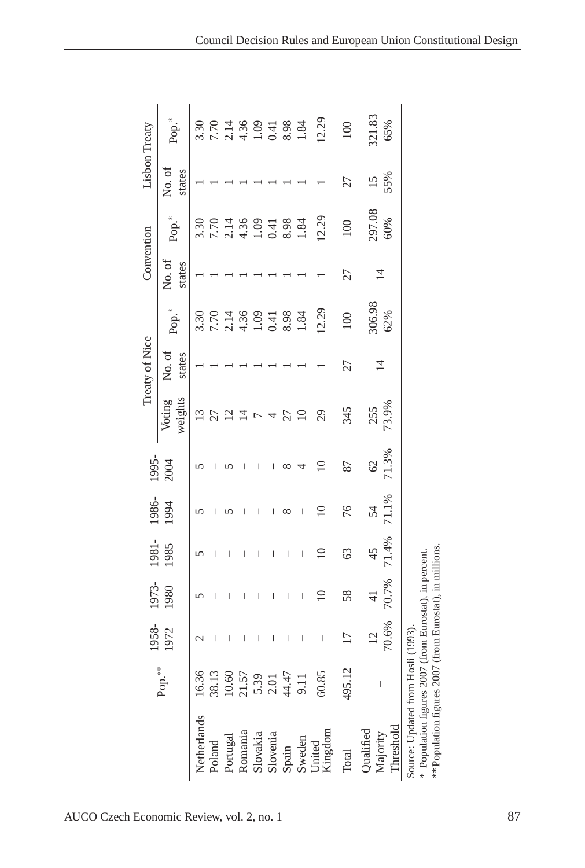|                                                                                                                                                           |                                                 | 1958-               | 1973-                          | 1981-                          | 1986-       | 1995-       |                   | Treaty of Nice  |                   | Convention       |                   | Lisbon Treaty    |                                                       |
|-----------------------------------------------------------------------------------------------------------------------------------------------------------|-------------------------------------------------|---------------------|--------------------------------|--------------------------------|-------------|-------------|-------------------|-----------------|-------------------|------------------|-------------------|------------------|-------------------------------------------------------|
|                                                                                                                                                           | $\mathsf{Pop.}^{**}$                            | 1972                | 1980                           | 1985                           | 1994        | 2004        | weights<br>Voting | No.of<br>states | $\mathsf{Pop.}^*$ | No. of<br>states | $\mathsf{Pop.}^*$ | No. of<br>states | $Pop.*$                                               |
| Netherlands                                                                                                                                               | 16.36                                           |                     |                                |                                |             |             |                   |                 |                   |                  |                   |                  | 3.30                                                  |
| Poland                                                                                                                                                    |                                                 |                     |                                |                                |             |             |                   |                 |                   |                  | 300018001884      |                  |                                                       |
| Portugal                                                                                                                                                  | 38.13<br>10.60<br>10.57<br>5.39<br>5.11<br>9.11 |                     |                                | I                              |             |             |                   |                 |                   |                  |                   |                  | $7.14$<br>$7.14$<br>$1.36$<br>$1.4$<br>$1.0$<br>$1.0$ |
| Romania                                                                                                                                                   |                                                 |                     |                                | I                              |             |             |                   |                 |                   |                  |                   |                  |                                                       |
| Slovakia                                                                                                                                                  |                                                 |                     |                                |                                |             |             |                   |                 |                   |                  |                   |                  |                                                       |
| Slovenia                                                                                                                                                  |                                                 | Ī                   |                                | Ī                              |             |             |                   |                 |                   |                  |                   |                  |                                                       |
| Spain                                                                                                                                                     |                                                 | Ī                   |                                | $\begin{array}{c} \end{array}$ |             |             |                   |                 |                   |                  |                   |                  | 8.98<br>1.84                                          |
| Sweden<br>United                                                                                                                                          |                                                 | I                   | $\begin{array}{c} \end{array}$ | $\overline{\phantom{a}}$       |             |             | $\overline{10}$   |                 | 1.84              |                  |                   |                  |                                                       |
| Kingdom                                                                                                                                                   | 60.85                                           | I                   |                                | $\supseteq$                    | ≘           |             | 29                |                 | 12.29             |                  | 12.29             |                  | 12.29                                                 |
| Total                                                                                                                                                     | 495.12                                          | $\Box$              | 58                             | 63                             | 76          | 87          | 345               | 27              | 100               | 27               | 100               | 27               | 100                                                   |
| Threshold<br>Majority<br><b>Oualified</b>                                                                                                                 | $\begin{array}{c} \end{array}$                  | $\frac{12}{70.6\%}$ | 70.7%<br>$\frac{1}{4}$         | $45$<br>71.4%                  | 71.1%<br>54 | 71.3%<br>62 | 255<br>73.9%      |                 | 306.98<br>62%     | ₫                | 297.08<br>60%     | 55%<br>15        | 321.83<br>65%                                         |
| *** Population figures 2007 (from Eurostat), in millions.<br>* Population figures 2007 (from Eurostat), in percent.<br>Source: Updated from Hosli (1993). |                                                 |                     |                                |                                |             |             |                   |                 |                   |                  |                   |                  |                                                       |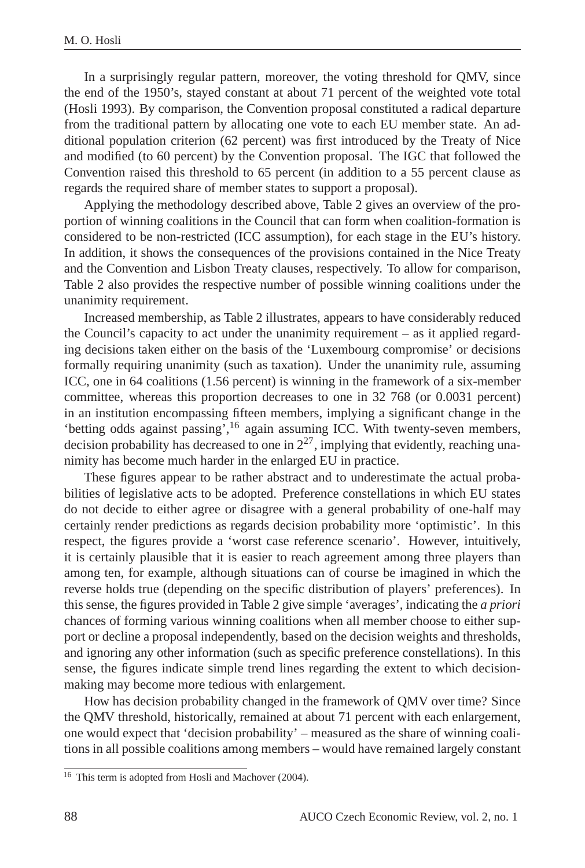In a surprisingly regular pattern, moreover, the voting threshold for QMV, since the end of the 1950's, stayed constant at about 71 percent of the weighted vote total (Hosli 1993). By comparison, the Convention proposal constituted a radical departure from the traditional pattern by allocating one vote to each EU member state. An additional population criterion (62 percent) was first introduced by the Treaty of Nice and modified (to 60 percent) by the Convention proposal. The IGC that followed the Convention raised this threshold to 65 percent (in addition to a 55 percent clause as regards the required share of member states to support a proposal).

Applying the methodology described above, Table 2 gives an overview of the proportion of winning coalitions in the Council that can form when coalition-formation is considered to be non-restricted (ICC assumption), for each stage in the EU's history. In addition, it shows the consequences of the provisions contained in the Nice Treaty and the Convention and Lisbon Treaty clauses, respectively. To allow for comparison, Table 2 also provides the respective number of possible winning coalitions under the unanimity requirement.

Increased membership, as Table 2 illustrates, appears to have considerably reduced the Council's capacity to act under the unanimity requirement – as it applied regarding decisions taken either on the basis of the 'Luxembourg compromise' or decisions formally requiring unanimity (such as taxation). Under the unanimity rule, assuming ICC, one in 64 coalitions (1.56 percent) is winning in the framework of a six-member committee, whereas this proportion decreases to one in 32 768 (or 0.0031 percent) in an institution encompassing fifteen members, implying a significant change in the 'betting odds against passing',<sup>16</sup> again assuming ICC. With twenty-seven members, decision probability has decreased to one in  $2^{27}$ , implying that evidently, reaching unanimity has become much harder in the enlarged EU in practice.

These figures appear to be rather abstract and to underestimate the actual probabilities of legislative acts to be adopted. Preference constellations in which EU states do not decide to either agree or disagree with a general probability of one-half may certainly render predictions as regards decision probability more 'optimistic'. In this respect, the figures provide a 'worst case reference scenario'. However, intuitively, it is certainly plausible that it is easier to reach agreement among three players than among ten, for example, although situations can of course be imagined in which the reverse holds true (depending on the specific distribution of players' preferences). In this sense, the figures provided in Table 2 give simple 'averages', indicating the *a priori* chances of forming various winning coalitions when all member choose to either support or decline a proposal independently, based on the decision weights and thresholds, and ignoring any other information (such as specific preference constellations). In this sense, the figures indicate simple trend lines regarding the extent to which decisionmaking may become more tedious with enlargement.

How has decision probability changed in the framework of QMV over time? Since the QMV threshold, historically, remained at about 71 percent with each enlargement, one would expect that 'decision probability' – measured as the share of winning coalitions in all possible coalitions among members – would have remained largely constant

<sup>16</sup> This term is adopted from Hosli and Machover (2004).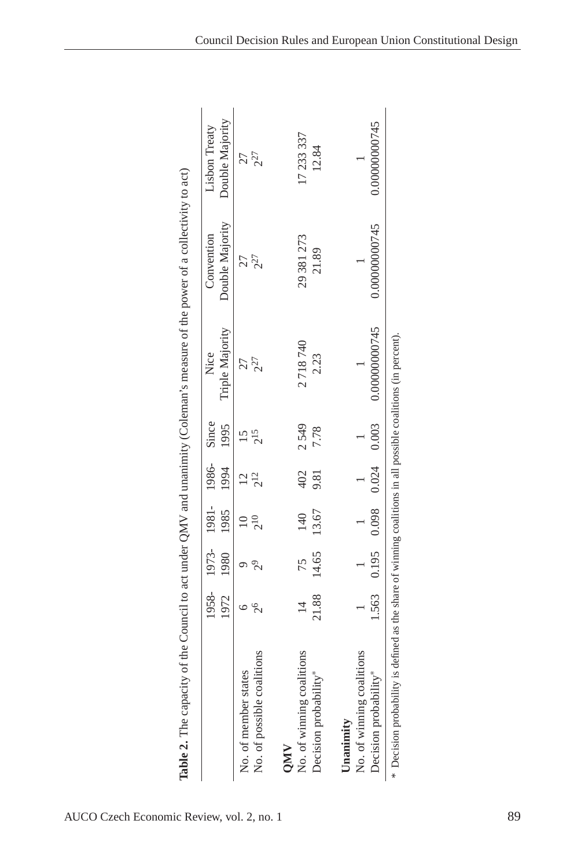| Table 2. The capacity of the Council to act under QMV and unanimity (Coleman's measure of the power of a collectivity to act) |                            |                                                       |             |                               |                         |                               |                                  |
|-------------------------------------------------------------------------------------------------------------------------------|----------------------------|-------------------------------------------------------|-------------|-------------------------------|-------------------------|-------------------------------|----------------------------------|
|                                                                                                                               |                            | 1958-1973-1981-1986-Since<br>1972 1980 1985 1994 1995 |             |                               | Triple Majority<br>Nice | Double Majority<br>Convention | Double Majority<br>Lisbon Treaty |
| No. of possible coalitions<br>No. of member states                                                                            |                            | $2^{10}$                                              | $2^{12}$    | $2^{15}$                      | $2^{27}$                | $2^{27}$<br>27                | $2^{27}$<br>27                   |
| No. of winning coalitions<br>Decision probability*<br><b>ONIV</b>                                                             | 21.88 14.65 13.67<br>14 75 | 140                                                   | 402<br>9.81 | 2549<br>7.78                  | 2718740<br>2.23         | 29 381 273<br>21.89           | 17233337<br>12.84                |
| No. of winning coalitions<br>Decision probability*<br>Unanimity                                                               |                            | $1 \t 1 \t 1 \t 1$                                    |             | 1.563 0.195 0.098 0.024 0.003 | 0.00000000745           | 0.00000000745                 | 0.00000000745                    |
| * Decision probability is defined as the share of winning coalitions in all possible coalitions (in percent).                 |                            |                                                       |             |                               |                         |                               |                                  |

| JΩ                                                                                         |  |
|--------------------------------------------------------------------------------------------|--|
|                                                                                            |  |
|                                                                                            |  |
|                                                                                            |  |
|                                                                                            |  |
|                                                                                            |  |
|                                                                                            |  |
|                                                                                            |  |
|                                                                                            |  |
|                                                                                            |  |
|                                                                                            |  |
|                                                                                            |  |
|                                                                                            |  |
|                                                                                            |  |
|                                                                                            |  |
|                                                                                            |  |
|                                                                                            |  |
|                                                                                            |  |
|                                                                                            |  |
|                                                                                            |  |
|                                                                                            |  |
|                                                                                            |  |
|                                                                                            |  |
|                                                                                            |  |
|                                                                                            |  |
| l                                                                                          |  |
|                                                                                            |  |
|                                                                                            |  |
|                                                                                            |  |
|                                                                                            |  |
|                                                                                            |  |
|                                                                                            |  |
|                                                                                            |  |
|                                                                                            |  |
|                                                                                            |  |
|                                                                                            |  |
| į                                                                                          |  |
|                                                                                            |  |
|                                                                                            |  |
|                                                                                            |  |
|                                                                                            |  |
|                                                                                            |  |
|                                                                                            |  |
|                                                                                            |  |
|                                                                                            |  |
|                                                                                            |  |
|                                                                                            |  |
| l                                                                                          |  |
|                                                                                            |  |
|                                                                                            |  |
|                                                                                            |  |
|                                                                                            |  |
|                                                                                            |  |
|                                                                                            |  |
|                                                                                            |  |
|                                                                                            |  |
|                                                                                            |  |
|                                                                                            |  |
|                                                                                            |  |
|                                                                                            |  |
|                                                                                            |  |
|                                                                                            |  |
|                                                                                            |  |
|                                                                                            |  |
|                                                                                            |  |
|                                                                                            |  |
|                                                                                            |  |
|                                                                                            |  |
|                                                                                            |  |
|                                                                                            |  |
|                                                                                            |  |
|                                                                                            |  |
|                                                                                            |  |
| $\ddot{\phantom{0}}$                                                                       |  |
| ・・・・                                                                                       |  |
|                                                                                            |  |
|                                                                                            |  |
|                                                                                            |  |
|                                                                                            |  |
|                                                                                            |  |
|                                                                                            |  |
|                                                                                            |  |
|                                                                                            |  |
| į                                                                                          |  |
|                                                                                            |  |
|                                                                                            |  |
| ۱,                                                                                         |  |
|                                                                                            |  |
|                                                                                            |  |
|                                                                                            |  |
| Í                                                                                          |  |
|                                                                                            |  |
|                                                                                            |  |
|                                                                                            |  |
|                                                                                            |  |
|                                                                                            |  |
|                                                                                            |  |
|                                                                                            |  |
|                                                                                            |  |
|                                                                                            |  |
|                                                                                            |  |
|                                                                                            |  |
|                                                                                            |  |
|                                                                                            |  |
|                                                                                            |  |
|                                                                                            |  |
| ۱<br>پ                                                                                     |  |
|                                                                                            |  |
|                                                                                            |  |
| $\frac{1}{2}$                                                                              |  |
|                                                                                            |  |
| $\frac{1}{2}$<br>;<br>;<br>;                                                               |  |
|                                                                                            |  |
|                                                                                            |  |
| ֧֧֧֧֧֧֧֧֧֧֧֧֧֧֧֧֧֧֧֚֚֚֚֚֚֚֚֚֚֚֚֚֚֚֚֚֝֝֝֝֝֝֝֓֝֝֝֝֝֓֝֬֝֝֬֝֓֝֬֝֓֝֬֝֬֝֬֝֬֝֬֝֬֝֬֝֬֝֬֝֬֝֬֝֬<br>Ē |  |
|                                                                                            |  |
|                                                                                            |  |
| ę                                                                                          |  |
|                                                                                            |  |
|                                                                                            |  |
|                                                                                            |  |
|                                                                                            |  |
| Table                                                                                      |  |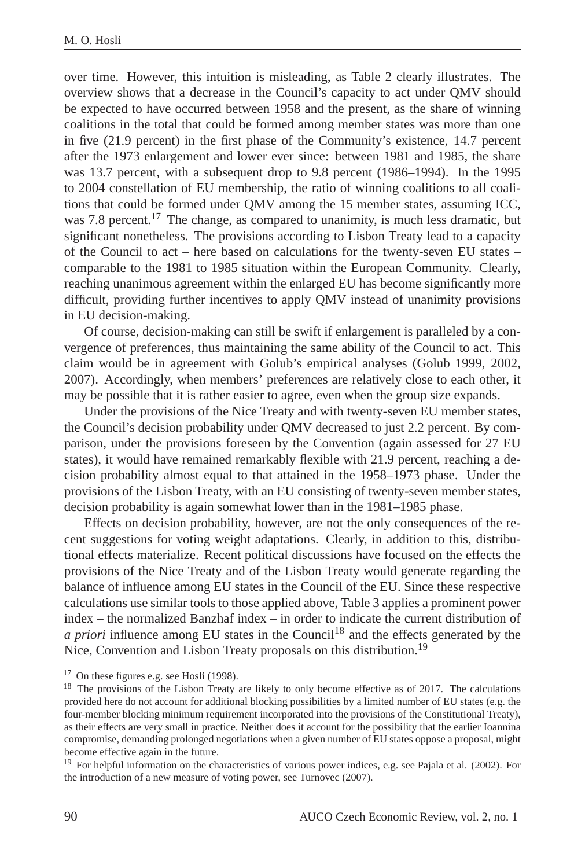over time. However, this intuition is misleading, as Table 2 clearly illustrates. The overview shows that a decrease in the Council's capacity to act under QMV should be expected to have occurred between 1958 and the present, as the share of winning coalitions in the total that could be formed among member states was more than one in five (21.9 percent) in the first phase of the Community's existence, 14.7 percent after the 1973 enlargement and lower ever since: between 1981 and 1985, the share was 13.7 percent, with a subsequent drop to 9.8 percent (1986–1994). In the 1995 to 2004 constellation of EU membership, the ratio of winning coalitions to all coalitions that could be formed under QMV among the 15 member states, assuming ICC, was 7.8 percent.<sup>17</sup> The change, as compared to unanimity, is much less dramatic, but significant nonetheless. The provisions according to Lisbon Treaty lead to a capacity of the Council to act – here based on calculations for the twenty-seven EU states – comparable to the 1981 to 1985 situation within the European Community. Clearly, reaching unanimous agreement within the enlarged EU has become significantly more difficult, providing further incentives to apply QMV instead of unanimity provisions in EU decision-making.

Of course, decision-making can still be swift if enlargement is paralleled by a convergence of preferences, thus maintaining the same ability of the Council to act. This claim would be in agreement with Golub's empirical analyses (Golub 1999, 2002, 2007). Accordingly, when members' preferences are relatively close to each other, it may be possible that it is rather easier to agree, even when the group size expands.

Under the provisions of the Nice Treaty and with twenty-seven EU member states, the Council's decision probability under QMV decreased to just 2.2 percent. By comparison, under the provisions foreseen by the Convention (again assessed for 27 EU states), it would have remained remarkably flexible with 21.9 percent, reaching a decision probability almost equal to that attained in the 1958–1973 phase. Under the provisions of the Lisbon Treaty, with an EU consisting of twenty-seven member states, decision probability is again somewhat lower than in the 1981–1985 phase.

Effects on decision probability, however, are not the only consequences of the recent suggestions for voting weight adaptations. Clearly, in addition to this, distributional effects materialize. Recent political discussions have focused on the effects the provisions of the Nice Treaty and of the Lisbon Treaty would generate regarding the balance of influence among EU states in the Council of the EU. Since these respective calculations use similar tools to those applied above, Table 3 applies a prominent power index – the normalized Banzhaf index – in order to indicate the current distribution of *a priori* influence among EU states in the Council<sup>18</sup> and the effects generated by the Nice, Convention and Lisbon Treaty proposals on this distribution.<sup>19</sup>

<sup>&</sup>lt;sup>17</sup> On these figures e.g. see Hosli (1998).

<sup>&</sup>lt;sup>18</sup> The provisions of the Lisbon Treaty are likely to only become effective as of 2017. The calculations provided here do not account for additional blocking possibilities by a limited number of EU states (e.g. the four-member blocking minimum requirement incorporated into the provisions of the Constitutional Treaty), as their effects are very small in practice. Neither does it account for the possibility that the earlier Ioannina compromise, demanding prolonged negotiations when a given number of EU states oppose a proposal, might become effective again in the future.

<sup>&</sup>lt;sup>19</sup> For helpful information on the characteristics of various power indices, e.g. see Pajala et al. (2002). For the introduction of a new measure of voting power, see Turnovec (2007).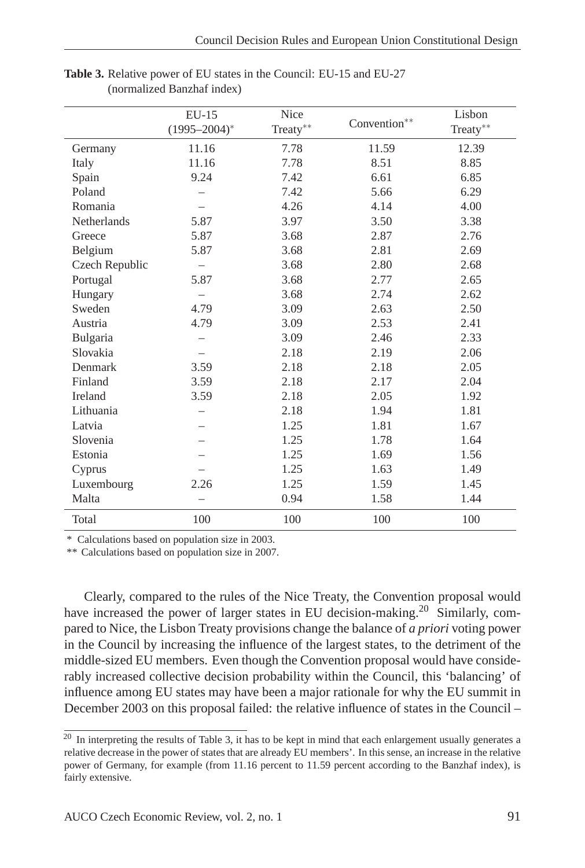|                | $EU-15$<br>$(1995 - 2004)^*$ | <b>Nice</b><br>Treaty** | Convention** | Lisbon<br>Treaty** |
|----------------|------------------------------|-------------------------|--------------|--------------------|
| Germany        | 11.16                        | 7.78                    | 11.59        | 12.39              |
| Italy          | 11.16                        | 7.78                    | 8.51         | 8.85               |
| Spain          | 9.24                         | 7.42                    | 6.61         | 6.85               |
| Poland         |                              | 7.42                    | 5.66         | 6.29               |
| Romania        |                              | 4.26                    | 4.14         | 4.00               |
| Netherlands    | 5.87                         | 3.97                    | 3.50         | 3.38               |
| Greece         | 5.87                         | 3.68                    | 2.87         | 2.76               |
| Belgium        | 5.87                         | 3.68                    | 2.81         | 2.69               |
| Czech Republic |                              | 3.68                    | 2.80         | 2.68               |
| Portugal       | 5.87                         | 3.68                    | 2.77         | 2.65               |
| Hungary        | $\overline{\phantom{0}}$     | 3.68                    | 2.74         | 2.62               |
| Sweden         | 4.79                         | 3.09                    | 2.63         | 2.50               |
| Austria        | 4.79                         | 3.09                    | 2.53         | 2.41               |
| Bulgaria       | —                            | 3.09                    | 2.46         | 2.33               |
| Slovakia       |                              | 2.18                    | 2.19         | 2.06               |
| Denmark        | 3.59                         | 2.18                    | 2.18         | 2.05               |
| Finland        | 3.59                         | 2.18                    | 2.17         | 2.04               |
| Ireland        | 3.59                         | 2.18                    | 2.05         | 1.92               |
| Lithuania      |                              | 2.18                    | 1.94         | 1.81               |
| Latvia         |                              | 1.25                    | 1.81         | 1.67               |
| Slovenia       |                              | 1.25                    | 1.78         | 1.64               |
| Estonia        |                              | 1.25                    | 1.69         | 1.56               |
| Cyprus         |                              | 1.25                    | 1.63         | 1.49               |
| Luxembourg     | 2.26                         | 1.25                    | 1.59         | 1.45               |
| Malta          |                              | 0.94                    | 1.58         | 1.44               |
| Total          | 100                          | 100                     | 100          | 100                |

**Table 3.** Relative power of EU states in the Council: EU-15 and EU-27 (normalized Banzhaf index)

\* Calculations based on population size in 2003.

\*\* Calculations based on population size in 2007.

Clearly, compared to the rules of the Nice Treaty, the Convention proposal would have increased the power of larger states in EU decision-making.<sup>20</sup> Similarly, compared to Nice, the Lisbon Treaty provisions change the balance of *a priori* voting power in the Council by increasing the influence of the largest states, to the detriment of the middle-sized EU members. Even though the Convention proposal would have considerably increased collective decision probability within the Council, this 'balancing' of influence among EU states may have been a major rationale for why the EU summit in December 2003 on this proposal failed: the relative influence of states in the Council –

<sup>&</sup>lt;sup>20</sup> In interpreting the results of Table 3, it has to be kept in mind that each enlargement usually generates a relative decrease in the power of states that are already EU members'. In this sense, an increase in the relative power of Germany, for example (from 11.16 percent to 11.59 percent according to the Banzhaf index), is fairly extensive.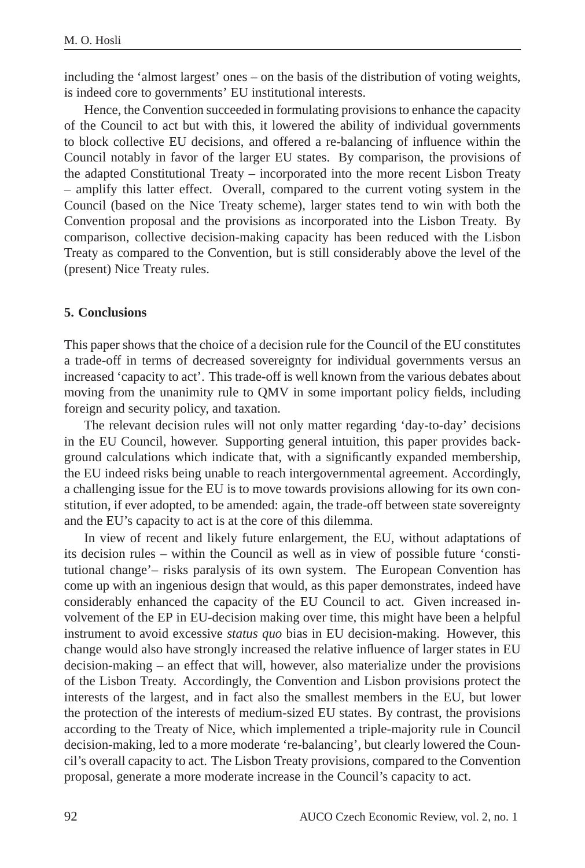including the 'almost largest' ones – on the basis of the distribution of voting weights, is indeed core to governments' EU institutional interests.

Hence, the Convention succeeded in formulating provisions to enhance the capacity of the Council to act but with this, it lowered the ability of individual governments to block collective EU decisions, and offered a re-balancing of influence within the Council notably in favor of the larger EU states. By comparison, the provisions of the adapted Constitutional Treaty – incorporated into the more recent Lisbon Treaty – amplify this latter effect. Overall, compared to the current voting system in the Council (based on the Nice Treaty scheme), larger states tend to win with both the Convention proposal and the provisions as incorporated into the Lisbon Treaty. By comparison, collective decision-making capacity has been reduced with the Lisbon Treaty as compared to the Convention, but is still considerably above the level of the (present) Nice Treaty rules.

#### **5. Conclusions**

This paper shows that the choice of a decision rule for the Council of the EU constitutes a trade-off in terms of decreased sovereignty for individual governments versus an increased 'capacity to act'. This trade-off is well known from the various debates about moving from the unanimity rule to QMV in some important policy fields, including foreign and security policy, and taxation.

The relevant decision rules will not only matter regarding 'day-to-day' decisions in the EU Council, however. Supporting general intuition, this paper provides background calculations which indicate that, with a significantly expanded membership, the EU indeed risks being unable to reach intergovernmental agreement. Accordingly, a challenging issue for the EU is to move towards provisions allowing for its own constitution, if ever adopted, to be amended: again, the trade-off between state sovereignty and the EU's capacity to act is at the core of this dilemma.

In view of recent and likely future enlargement, the EU, without adaptations of its decision rules – within the Council as well as in view of possible future 'constitutional change'– risks paralysis of its own system. The European Convention has come up with an ingenious design that would, as this paper demonstrates, indeed have considerably enhanced the capacity of the EU Council to act. Given increased involvement of the EP in EU-decision making over time, this might have been a helpful instrument to avoid excessive *status quo* bias in EU decision-making. However, this change would also have strongly increased the relative influence of larger states in EU decision-making – an effect that will, however, also materialize under the provisions of the Lisbon Treaty. Accordingly, the Convention and Lisbon provisions protect the interests of the largest, and in fact also the smallest members in the EU, but lower the protection of the interests of medium-sized EU states. By contrast, the provisions according to the Treaty of Nice, which implemented a triple-majority rule in Council decision-making, led to a more moderate 're-balancing', but clearly lowered the Council's overall capacity to act. The Lisbon Treaty provisions, compared to the Convention proposal, generate a more moderate increase in the Council's capacity to act.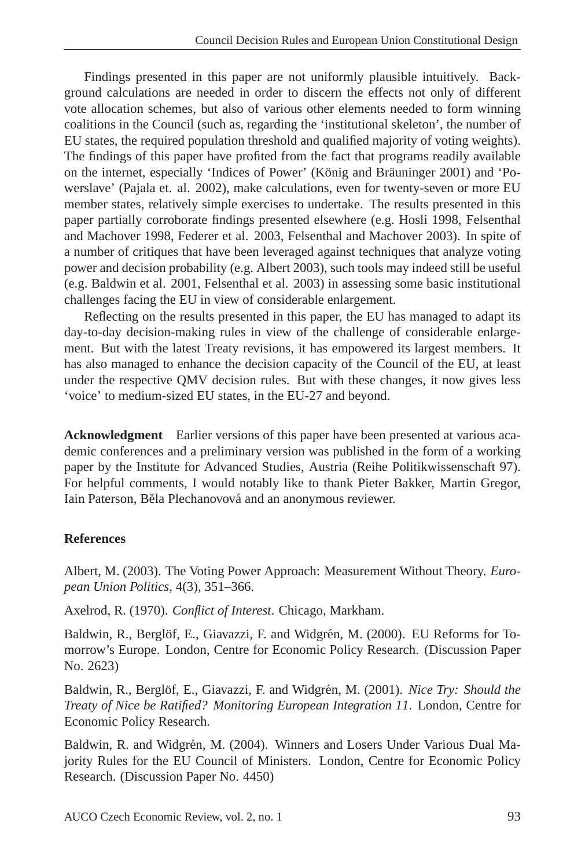Findings presented in this paper are not uniformly plausible intuitively. Background calculations are needed in order to discern the effects not only of different vote allocation schemes, but also of various other elements needed to form winning coalitions in the Council (such as, regarding the 'institutional skeleton', the number of EU states, the required population threshold and qualified majority of voting weights). The findings of this paper have profited from the fact that programs readily available on the internet, especially 'Indices of Power' (König and Bräuninger 2001) and 'Powerslave' (Pajala et. al. 2002), make calculations, even for twenty-seven or more EU member states, relatively simple exercises to undertake. The results presented in this paper partially corroborate findings presented elsewhere (e.g. Hosli 1998, Felsenthal and Machover 1998, Federer et al. 2003, Felsenthal and Machover 2003). In spite of a number of critiques that have been leveraged against techniques that analyze voting power and decision probability (e.g. Albert 2003), such tools may indeed still be useful (e.g. Baldwin et al. 2001, Felsenthal et al. 2003) in assessing some basic institutional challenges facing the EU in view of considerable enlargement.

Reflecting on the results presented in this paper, the EU has managed to adapt its day-to-day decision-making rules in view of the challenge of considerable enlargement. But with the latest Treaty revisions, it has empowered its largest members. It has also managed to enhance the decision capacity of the Council of the EU, at least under the respective QMV decision rules. But with these changes, it now gives less 'voice' to medium-sized EU states, in the EU-27 and beyond.

**Acknowledgment** Earlier versions of this paper have been presented at various academic conferences and a preliminary version was published in the form of a working paper by the Institute for Advanced Studies, Austria (Reihe Politikwissenschaft 97). For helpful comments, I would notably like to thank Pieter Bakker, Martin Gregor, Iain Paterson, Běla Plechanovová and an anonymous reviewer.

### **References**

Albert, M. (2003). The Voting Power Approach: Measurement Without Theory. *European Union Politics*, 4(3), 351–366.

Axelrod, R. (1970). *Conflict of Interest*. Chicago, Markham.

Baldwin, R., Berglöf, E., Giavazzi, F. and Widgrén, M. (2000). EU Reforms for Tomorrow's Europe. London, Centre for Economic Policy Research. (Discussion Paper No. 2623)

Baldwin, R., Berglöf, E., Giavazzi, F. and Widgrén, M. (2001). Nice Try: Should the *Treaty of Nice be Ratified? Monitoring European Integration 11*. London, Centre for Economic Policy Research.

Baldwin, R. and Widgrén, M. (2004). Winners and Losers Under Various Dual Majority Rules for the EU Council of Ministers. London, Centre for Economic Policy Research. (Discussion Paper No. 4450)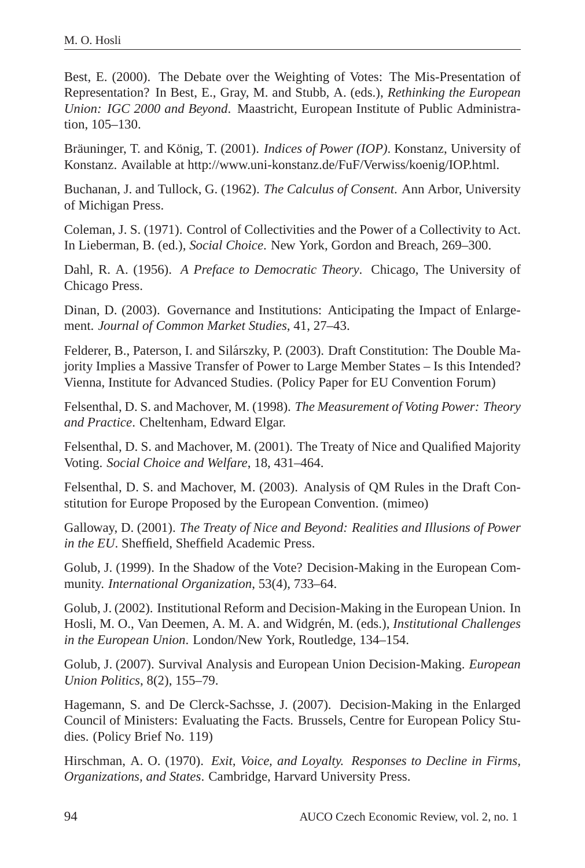Best, E. (2000). The Debate over the Weighting of Votes: The Mis-Presentation of Representation? In Best, E., Gray, M. and Stubb, A. (eds.), *Rethinking the European Union: IGC 2000 and Beyond*. Maastricht, European Institute of Public Administration, 105–130.

Bräuninger, T. and König, T. (2001). *Indices of Power (IOP)*. Konstanz, University of Konstanz. Available at http://www.uni-konstanz.de/FuF/Verwiss/koenig/IOP.html.

Buchanan, J. and Tullock, G. (1962). *The Calculus of Consent*. Ann Arbor, University of Michigan Press.

Coleman, J. S. (1971). Control of Collectivities and the Power of a Collectivity to Act. In Lieberman, B. (ed.), *Social Choice*. New York, Gordon and Breach, 269–300.

Dahl, R. A. (1956). *A Preface to Democratic Theory*. Chicago, The University of Chicago Press.

Dinan, D. (2003). Governance and Institutions: Anticipating the Impact of Enlargement. *Journal of Common Market Studies*, 41, 27–43.

Felderer, B., Paterson, I. and Silárszky, P. (2003). Draft Constitution: The Double Majority Implies a Massive Transfer of Power to Large Member States – Is this Intended? Vienna, Institute for Advanced Studies. (Policy Paper for EU Convention Forum)

Felsenthal, D. S. and Machover, M. (1998). *The Measurement of Voting Power: Theory and Practice*. Cheltenham, Edward Elgar.

Felsenthal, D. S. and Machover, M. (2001). The Treaty of Nice and Qualified Majority Voting. *Social Choice and Welfare*, 18, 431–464.

Felsenthal, D. S. and Machover, M. (2003). Analysis of QM Rules in the Draft Constitution for Europe Proposed by the European Convention. (mimeo)

Galloway, D. (2001). *The Treaty of Nice and Beyond: Realities and Illusions of Power in the EU*. Sheffield, Sheffield Academic Press.

Golub, J. (1999). In the Shadow of the Vote? Decision-Making in the European Community. *International Organization*, 53(4), 733–64.

Golub, J. (2002). Institutional Reform and Decision-Making in the European Union. In Hosli, M. O., Van Deemen, A. M. A. and Widgrén, M. (eds.), *Institutional Challenges in the European Union*. London/New York, Routledge, 134–154.

Golub, J. (2007). Survival Analysis and European Union Decision-Making. *European Union Politics*, 8(2), 155–79.

Hagemann, S. and De Clerck-Sachsse, J. (2007). Decision-Making in the Enlarged Council of Ministers: Evaluating the Facts. Brussels, Centre for European Policy Studies. (Policy Brief No. 119)

Hirschman, A. O. (1970). *Exit, Voice, and Loyalty. Responses to Decline in Firms, Organizations, and States*. Cambridge, Harvard University Press.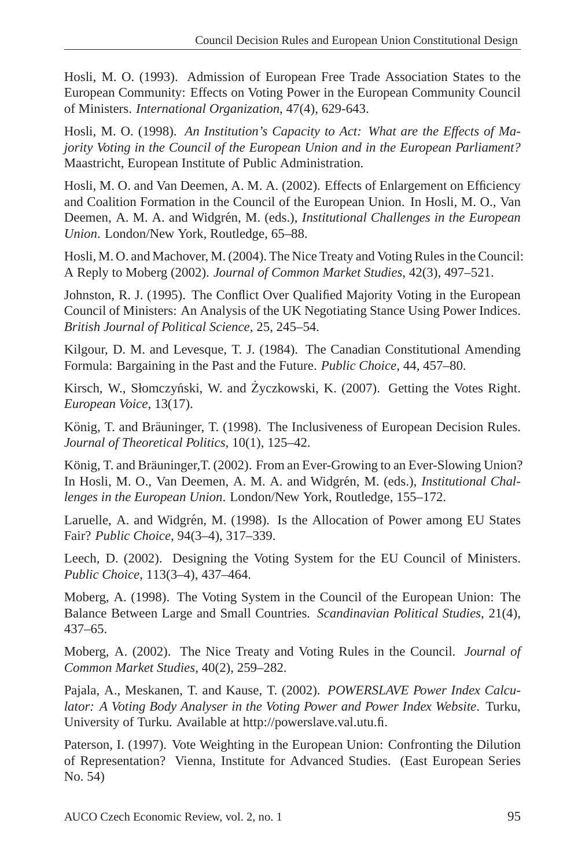Hosli, M. O. (1993). Admission of European Free Trade Association States to the European Community: Effects on Voting Power in the European Community Council of Ministers. *International Organization*, 47(4), 629-643.

Hosli, M. O. (1998). *An Institution's Capacity to Act: What are the Effects of Majority Voting in the Council of the European Union and in the European Parliament?* Maastricht, European Institute of Public Administration.

Hosli, M. O. and Van Deemen, A. M. A. (2002). Effects of Enlargement on Efficiency and Coalition Formation in the Council of the European Union. In Hosli, M. O., Van Deemen, A. M. A. and Widgrén, M. (eds.), *Institutional Challenges in the European Union*. London/New York, Routledge, 65–88.

Hosli, M. O. and Machover, M. (2004). The Nice Treaty and Voting Rules in the Council: A Reply to Moberg (2002). *Journal of Common Market Studies*, 42(3), 497–521.

Johnston, R. J. (1995). The Conflict Over Qualified Majority Voting in the European Council of Ministers: An Analysis of the UK Negotiating Stance Using Power Indices. *British Journal of Political Science*, 25, 245–54.

Kilgour, D. M. and Levesque, T. J. (1984). The Canadian Constitutional Amending Formula: Bargaining in the Past and the Future. *Public Choice*, 44, 457–80.

Kirsch, W., Słomczyński, W. and Życzkowski, K. (2007). Getting the Votes Right. *European Voice*, 13(17).

König, T. and Bräuninger, T. (1998). The Inclusiveness of European Decision Rules. *Journal of Theoretical Politics*, 10(1), 125–42.

König, T. and Bräuninger, T. (2002). From an Ever-Growing to an Ever-Slowing Union? In Hosli, M. O., Van Deemen, A. M. A. and Widgrén, M. (eds.), *Institutional Challenges in the European Union*. London/New York, Routledge, 155–172.

Laruelle, A. and Widgrén, M. (1998). Is the Allocation of Power among EU States Fair? *Public Choice*, 94(3–4), 317–339.

Leech, D. (2002). Designing the Voting System for the EU Council of Ministers. *Public Choice*, 113(3–4), 437–464.

Moberg, A. (1998). The Voting System in the Council of the European Union: The Balance Between Large and Small Countries. *Scandinavian Political Studies*, 21(4), 437–65.

Moberg, A. (2002). The Nice Treaty and Voting Rules in the Council. *Journal of Common Market Studies*, 40(2), 259–282.

Pajala, A., Meskanen, T. and Kause, T. (2002). *POWERSLAVE Power Index Calculator: A Voting Body Analyser in the Voting Power and Power Index Website*. Turku, University of Turku. Available at http://powerslave.val.utu.fi.

Paterson, I. (1997). Vote Weighting in the European Union: Confronting the Dilution of Representation? Vienna, Institute for Advanced Studies. (East European Series No. 54)